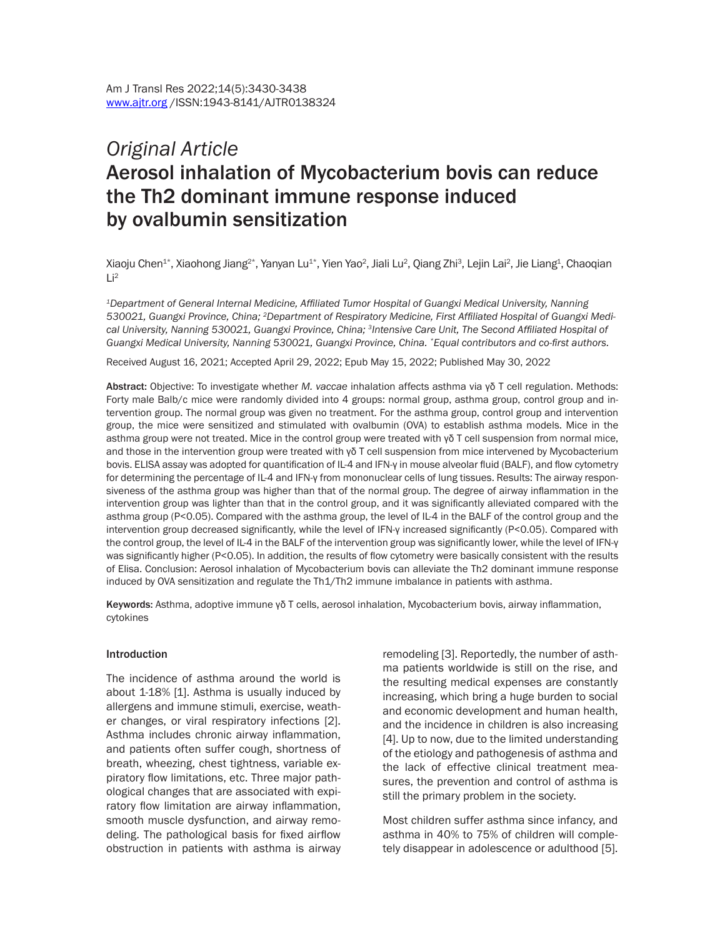# *Original Article* Aerosol inhalation of Mycobacterium bovis can reduce the Th2 dominant immune response induced by ovalbumin sensitization

Xiaoju Chen $^{1*}$ , Xiaohong Jiang $^{2*}$ , Yanyan Lu $^{1*}$ , Yien Yao $^2$ , Jiali Lu $^2$ , Qiang Zhi $^3$ , Lejin Lai $^2$ , Jie Liang $^4$ , Chaoqian  $Li<sup>2</sup>$ 

*<sup>1</sup>Department of General Internal Medicine, Affiliated Tumor Hospital of Guangxi Medical University, Nanning 530021, Guangxi Province, China; 2Department of Respiratory Medicine, First Affiliated Hospital of Guangxi Medical University, Nanning 530021, Guangxi Province, China; <sup>3</sup>Intensive Care Unit, The Second Affiliated Hospital of Guangxi Medical University, Nanning 530021, Guangxi Province, China. \*Equal contributors and co-first authors.* 

Received August 16, 2021; Accepted April 29, 2022; Epub May 15, 2022; Published May 30, 2022

Abstract: Objective: To investigate whether *M. vaccae* inhalation affects asthma via γδ T cell regulation. Methods: Forty male Balb/c mice were randomly divided into 4 groups: normal group, asthma group, control group and intervention group. The normal group was given no treatment. For the asthma group, control group and intervention group, the mice were sensitized and stimulated with ovalbumin (OVA) to establish asthma models. Mice in the asthma group were not treated. Mice in the control group were treated with γδ T cell suspension from normal mice, and those in the intervention group were treated with γδ T cell suspension from mice intervened by Mycobacterium bovis. ELISA assay was adopted for quantification of IL-4 and IFN-γ in mouse alveolar fluid (BALF), and flow cytometry for determining the percentage of IL-4 and IFN-γ from mononuclear cells of lung tissues. Results: The airway responsiveness of the asthma group was higher than that of the normal group. The degree of airway inflammation in the intervention group was lighter than that in the control group, and it was significantly alleviated compared with the asthma group (P<0.05). Compared with the asthma group, the level of IL-4 in the BALF of the control group and the intervention group decreased significantly, while the level of IFN-γ increased significantly (P<0.05). Compared with the control group, the level of IL-4 in the BALF of the intervention group was significantly lower, while the level of IFN-γ was significantly higher (P<0.05). In addition, the results of flow cytometry were basically consistent with the results of Elisa. Conclusion: Aerosol inhalation of Mycobacterium bovis can alleviate the Th2 dominant immune response induced by OVA sensitization and regulate the Th1/Th2 immune imbalance in patients with asthma.

Keywords: Asthma, adoptive immune γδ T cells, aerosol inhalation, Mycobacterium bovis, airway inflammation, cytokines

#### **Introduction**

The incidence of asthma around the world is about 1-18% [1]. Asthma is usually induced by allergens and immune stimuli, exercise, weather changes, or viral respiratory infections [2]. Asthma includes chronic airway inflammation, and patients often suffer cough, shortness of breath, wheezing, chest tightness, variable expiratory flow limitations, etc. Three major pathological changes that are associated with expiratory flow limitation are airway inflammation, smooth muscle dysfunction, and airway remodeling. The pathological basis for fixed airflow obstruction in patients with asthma is airway remodeling [3]. Reportedly, the number of asthma patients worldwide is still on the rise, and the resulting medical expenses are constantly increasing, which bring a huge burden to social and economic development and human health, and the incidence in children is also increasing [4]. Up to now, due to the limited understanding of the etiology and pathogenesis of asthma and the lack of effective clinical treatment measures, the prevention and control of asthma is still the primary problem in the society.

Most children suffer asthma since infancy, and asthma in 40% to 75% of children will completely disappear in adolescence or adulthood [5].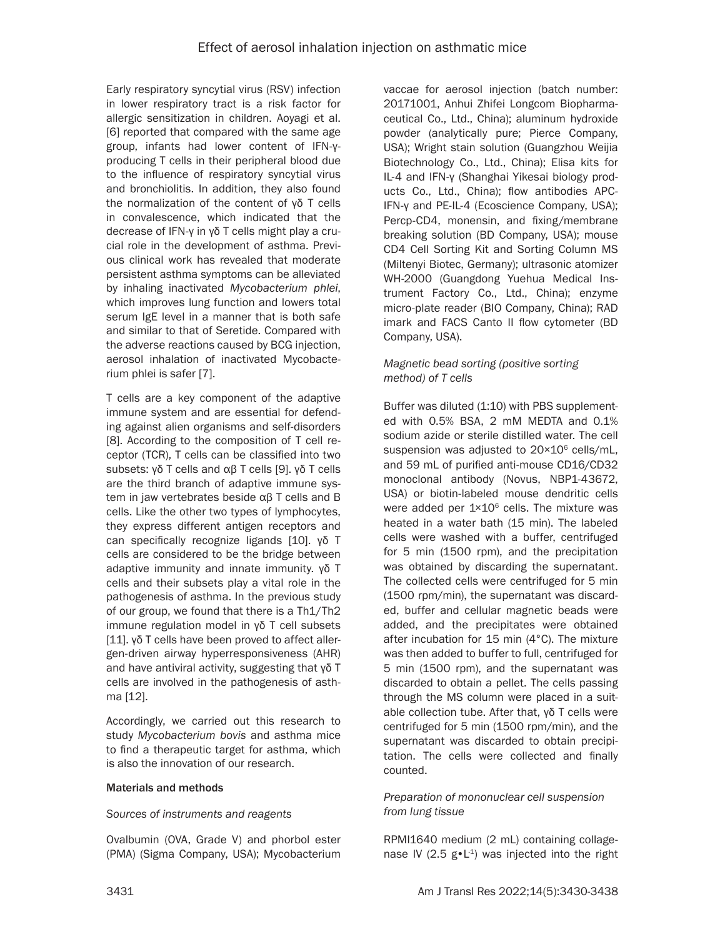Early respiratory syncytial virus (RSV) infection in lower respiratory tract is a risk factor for allergic sensitization in children. Aoyagi et al. [6] reported that compared with the same age group, infants had lower content of IFN-γproducing T cells in their peripheral blood due to the influence of respiratory syncytial virus and bronchiolitis. In addition, they also found the normalization of the content of γδ T cells in convalescence, which indicated that the decrease of IFN-γ in γδ T cells might play a crucial role in the development of asthma. Previous clinical work has revealed that moderate persistent asthma symptoms can be alleviated by inhaling inactivated *Mycobacterium phlei*, which improves lung function and lowers total serum IgE level in a manner that is both safe and similar to that of Seretide. Compared with the adverse reactions caused by BCG injection, aerosol inhalation of inactivated Mycobacterium phlei is safer [7].

T cells are a key component of the adaptive immune system and are essential for defending against alien organisms and self-disorders [8]. According to the composition of T cell receptor (TCR), T cells can be classified into two subsets: γδ T cells and αβ T cells [9]. γδ T cells are the third branch of adaptive immune system in jaw vertebrates beside αβ T cells and B cells. Like the other two types of lymphocytes, they express different antigen receptors and can specifically recognize ligands [10]. γδ T cells are considered to be the bridge between adaptive immunity and innate immunity. γδ T cells and their subsets play a vital role in the pathogenesis of asthma. In the previous study of our group, we found that there is a Th1/Th2 immune regulation model in γδ T cell subsets [11]. γδ T cells have been proved to affect allergen-driven airway hyperresponsiveness (AHR) and have antiviral activity, suggesting that γδ T cells are involved in the pathogenesis of asthma [12].

Accordingly, we carried out this research to study *Mycobacterium bovis* and asthma mice to find a therapeutic target for asthma, which is also the innovation of our research.

#### Materials and methods

#### *Sources of instruments and reagents*

Ovalbumin (OVA, Grade V) and phorbol ester (PMA) (Sigma Company, USA); Mycobacterium vaccae for aerosol injection (batch number: 20171001, Anhui Zhifei Longcom Biopharmaceutical Co., Ltd., China); aluminum hydroxide powder (analytically pure; Pierce Company, USA); Wright stain solution (Guangzhou Weijia Biotechnology Co., Ltd., China); Elisa kits for IL-4 and IFN-γ (Shanghai Yikesai biology products Co., Ltd., China); flow antibodies APC-IFN-γ and PE-IL-4 (Ecoscience Company, USA); Percp-CD4, monensin, and fixing/membrane breaking solution (BD Company, USA); mouse CD4 Cell Sorting Kit and Sorting Column MS (Miltenyi Biotec, Germany); ultrasonic atomizer WH-2000 (Guangdong Yuehua Medical Instrument Factory Co., Ltd., China); enzyme micro-plate reader (BIO Company, China); RAD imark and FACS Canto II flow cytometer (BD Company, USA).

# *Magnetic bead sorting (positive sorting method) of T cells*

Buffer was diluted (1:10) with PBS supplemented with 0.5% BSA, 2 mM MEDTA and 0.1% sodium azide or sterile distilled water. The cell suspension was adjusted to 20×10<sup>6</sup> cells/mL, and 59 mL of purified anti-mouse CD16/CD32 monoclonal antibody (Novus, NBP1-43672, USA) or biotin-labeled mouse dendritic cells were added per  $1 \times 10^6$  cells. The mixture was heated in a water bath (15 min). The labeled cells were washed with a buffer, centrifuged for 5 min (1500 rpm), and the precipitation was obtained by discarding the supernatant. The collected cells were centrifuged for 5 min (1500 rpm/min), the supernatant was discarded, buffer and cellular magnetic beads were added, and the precipitates were obtained after incubation for 15 min (4°C). The mixture was then added to buffer to full, centrifuged for 5 min (1500 rpm), and the supernatant was discarded to obtain a pellet. The cells passing through the MS column were placed in a suitable collection tube. After that, γδ T cells were centrifuged for 5 min (1500 rpm/min), and the supernatant was discarded to obtain precipitation. The cells were collected and finally counted.

#### *Preparation of mononuclear cell suspension from lung tissue*

RPMI1640 medium (2 mL) containing collagenase IV (2.5  $g \cdot L^{-1}$ ) was injected into the right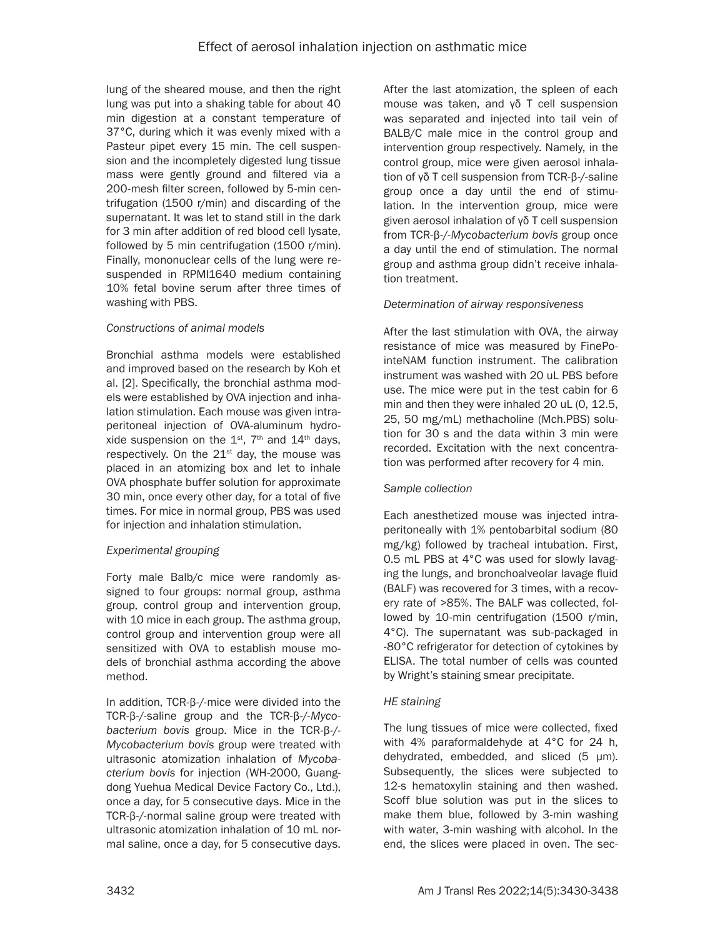lung of the sheared mouse, and then the right lung was put into a shaking table for about 40 min digestion at a constant temperature of 37°C, during which it was evenly mixed with a Pasteur pipet every 15 min. The cell suspension and the incompletely digested lung tissue mass were gently ground and filtered via a 200-mesh filter screen, followed by 5-min centrifugation (1500 r/min) and discarding of the supernatant. It was let to stand still in the dark for 3 min after addition of red blood cell lysate, followed by 5 min centrifugation (1500 r/min). Finally, mononuclear cells of the lung were resuspended in RPMI1640 medium containing 10% fetal bovine serum after three times of washing with PBS.

## *Constructions of animal models*

Bronchial asthma models were established and improved based on the research by Koh et al. [2]. Specifically, the bronchial asthma models were established by OVA injection and inhalation stimulation. Each mouse was given intraperitoneal injection of OVA-aluminum hydroxide suspension on the  $1^{st}$ ,  $7^{th}$  and  $14^{th}$  days, respectively. On the  $21<sup>st</sup>$  day, the mouse was placed in an atomizing box and let to inhale OVA phosphate buffer solution for approximate 30 min, once every other day, for a total of five times. For mice in normal group, PBS was used for injection and inhalation stimulation.

# *Experimental grouping*

Forty male Balb/c mice were randomly assigned to four groups: normal group, asthma group, control group and intervention group, with 10 mice in each group. The asthma group, control group and intervention group were all sensitized with OVA to establish mouse models of bronchial asthma according the above method.

In addition, TCR-β-/-mice were divided into the TCR-β-/-saline group and the TCR-β-/-*Mycobacterium bovis* group. Mice in the TCR-β-/- *Mycobacterium bovis* group were treated with ultrasonic atomization inhalation of *Mycobacterium bovis* for injection (WH-2000, Guangdong Yuehua Medical Device Factory Co., Ltd.), once a day, for 5 consecutive days. Mice in the TCR-β-/-normal saline group were treated with ultrasonic atomization inhalation of 10 mL normal saline, once a day, for 5 consecutive days. After the last atomization, the spleen of each mouse was taken, and γδ T cell suspension was separated and injected into tail vein of BALB/C male mice in the control group and intervention group respectively. Namely, in the control group, mice were given aerosol inhalation of γδ T cell suspension from TCR-β-/-saline group once a day until the end of stimulation. In the intervention group, mice were given aerosol inhalation of γδ T cell suspension from TCR-β-/-*Mycobacterium bovis* group once a day until the end of stimulation. The normal group and asthma group didn't receive inhalation treatment.

# *Determination of airway responsiveness*

After the last stimulation with OVA, the airway resistance of mice was measured by FinePointeNAM function instrument. The calibration instrument was washed with 20 uL PBS before use. The mice were put in the test cabin for 6 min and then they were inhaled 20 uL (0, 12.5, 25, 50 mg/mL) methacholine (Mch.PBS) solution for 30 s and the data within 3 min were recorded. Excitation with the next concentration was performed after recovery for 4 min.

# *Sample collection*

Each anesthetized mouse was injected intraperitoneally with 1% pentobarbital sodium (80 mg/kg) followed by tracheal intubation. First, 0.5 mL PBS at 4°C was used for slowly lavaging the lungs, and bronchoalveolar lavage fluid (BALF) was recovered for 3 times, with a recovery rate of >85%. The BALF was collected, followed by 10-min centrifugation (1500 r/min, 4°C). The supernatant was sub-packaged in -80°C refrigerator for detection of cytokines by ELISA. The total number of cells was counted by Wright's staining smear precipitate.

# *HE staining*

The lung tissues of mice were collected, fixed with 4% paraformaldehyde at 4°C for 24 h, dehydrated, embedded, and sliced (5 μm). Subsequently, the slices were subjected to 12-s hematoxylin staining and then washed. Scoff blue solution was put in the slices to make them blue, followed by 3-min washing with water, 3-min washing with alcohol. In the end, the slices were placed in oven. The sec-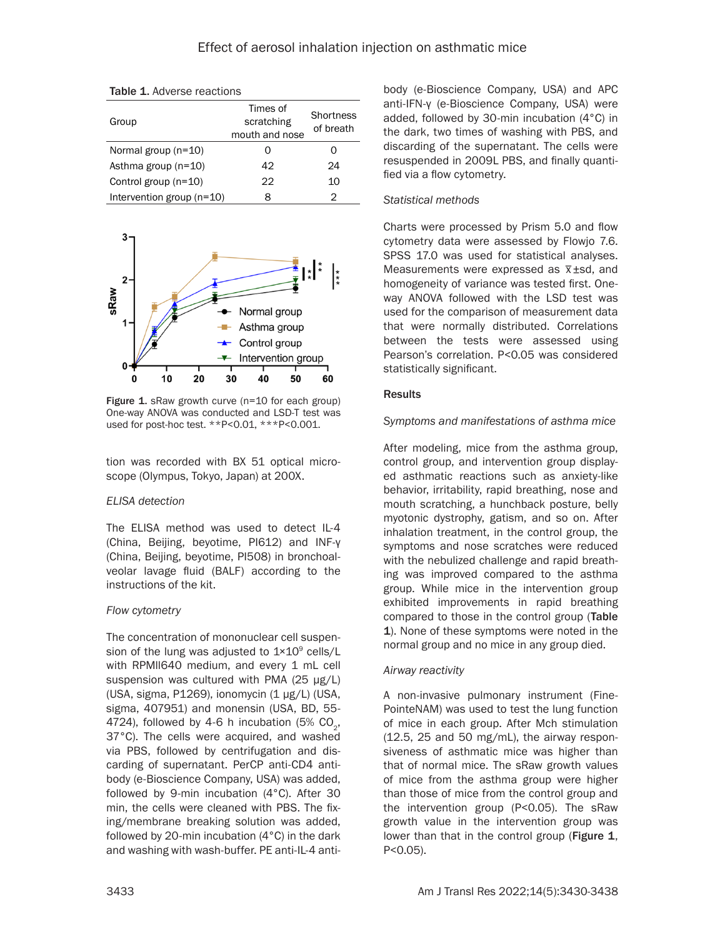Table 1. Adverse reactions

| Group                       | Times of<br>scratching<br>mouth and nose | Shortness<br>of breath |
|-----------------------------|------------------------------------------|------------------------|
| Normal group $(n=10)$       | 0                                        |                        |
| Asthma group $(n=10)$       | 42                                       | 24                     |
| Control group (n=10)        | 22                                       | 10                     |
| Intervention group $(n=10)$ | 8                                        | 2                      |



Figure 1. sRaw growth curve (n=10 for each group) One-way ANOVA was conducted and LSD-T test was used for post-hoc test. \*\*P<0.01, \*\*\*P<0.001.

tion was recorded with BX 51 optical microscope (Olympus, Tokyo, Japan) at 200X.

# *ELISA detection*

The ELISA method was used to detect IL-4 (China, Beijing, beyotime, PI612) and INF-γ (China, Beijing, beyotime, PI508) in bronchoalveolar lavage fluid (BALF) according to the instructions of the kit.

# *Flow cytometry*

The concentration of mononuclear cell suspension of the lung was adjusted to  $1 \times 10^9$  cells/L with RPMII640 medium, and every 1 mL cell suspension was cultured with PMA (25 μg/L) (USA, sigma, P1269), ionomycin (1 μg/L) (USA, sigma, 407951) and monensin (USA, BD, 55- 4724), followed by 4-6 h incubation (5%  $CO<sub>2</sub>$ , 37°C). The cells were acquired, and washed via PBS, followed by centrifugation and discarding of supernatant. PerCP anti-CD4 antibody (e-Bioscience Company, USA) was added, followed by 9-min incubation (4°C). After 30 min, the cells were cleaned with PBS. The fixing/membrane breaking solution was added, followed by 20-min incubation (4°C) in the dark and washing with wash-buffer. PE anti-IL-4 anti-

body (e-Bioscience Company, USA) and APC anti-IFN-γ (e-Bioscience Company, USA) were added, followed by 30-min incubation (4°C) in the dark, two times of washing with PBS, and discarding of the supernatant. The cells were resuspended in 2009L PBS, and finally quantified via a flow cytometry.

# *Statistical methods*

Charts were processed by Prism 5.0 and flow cytometry data were assessed by Flowjo 7.6. SPSS 17.0 was used for statistical analyses.  $\frac{33}{21}$ . We was used for statistical analyses. homogeneity of variance was tested first. Oneway ANOVA followed with the LSD test was used for the comparison of measurement data that were normally distributed. Correlations between the tests were assessed using Pearson's correlation. P<0.05 was considered statistically significant.

## **Results**

## *Symptoms and manifestations of asthma mice*

After modeling, mice from the asthma group, control group, and intervention group displayed asthmatic reactions such as anxiety-like behavior, irritability, rapid breathing, nose and mouth scratching, a hunchback posture, belly myotonic dystrophy, gatism, and so on. After inhalation treatment, in the control group, the symptoms and nose scratches were reduced with the nebulized challenge and rapid breathing was improved compared to the asthma group. While mice in the intervention group exhibited improvements in rapid breathing compared to those in the control group (Table 1). None of these symptoms were noted in the normal group and no mice in any group died.

# *Airway reactivity*

A non-invasive pulmonary instrument (Fine-PointeNAM) was used to test the lung function of mice in each group. After Mch stimulation (12.5, 25 and 50 mg/mL), the airway responsiveness of asthmatic mice was higher than that of normal mice. The sRaw growth values of mice from the asthma group were higher than those of mice from the control group and the intervention group (P<0.05). The sRaw growth value in the intervention group was lower than that in the control group (Figure 1, P<0.05).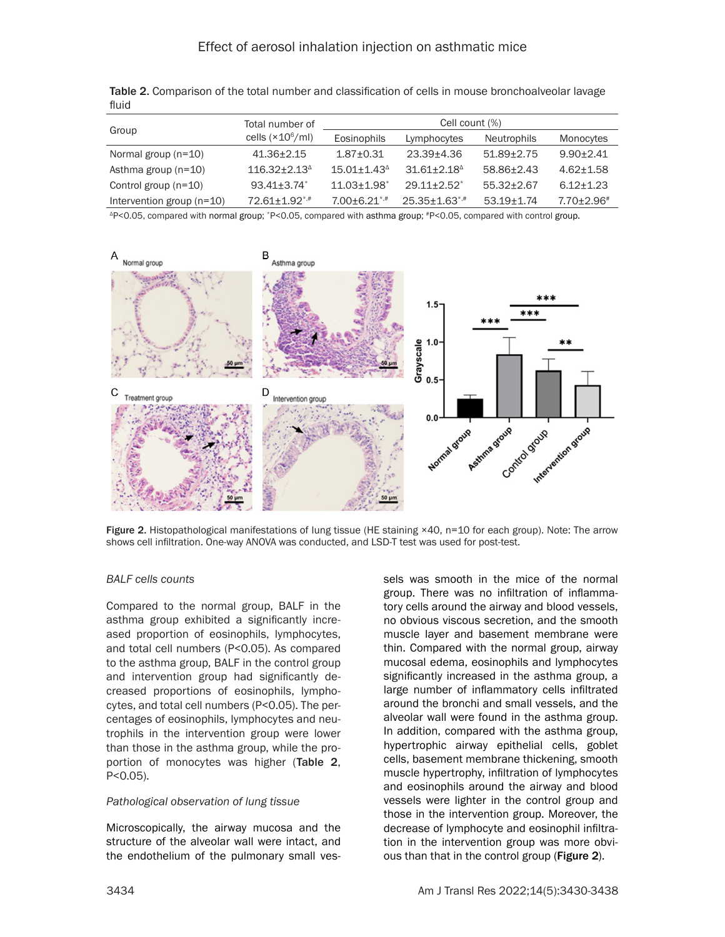| Group                       | Total number of         | Cell count (%)              |                                 |                    |                   |
|-----------------------------|-------------------------|-----------------------------|---------------------------------|--------------------|-------------------|
|                             | cells $(x10^6$ /ml)     | Eosinophils                 | Lymphocytes                     | <b>Neutrophils</b> | Monocytes         |
| Normal group $(n=10)$       | $41.36 \pm 2.15$        | $1.87 + 0.31$               | 23.39+4.36                      | $51.89 \pm 2.75$   | $9.90 + 2.41$     |
| Asthma group $(n=10)$       | $116.32 + 2.13^{\circ}$ | $15.01 + 1.43^{\circ}$      | $31.61 + 2.18^{\circ}$          | 58.86+2.43         | $4.62 + 1.58$     |
| Control group (n=10)        | $93.41 + 3.74$          | $11.03 + 1.98$ <sup>*</sup> | $29.11 + 2.52^*$                | $55.32 + 2.67$     | $6.12 + 1.23$     |
| Intervention group $(n=10)$ | 72.61+1.92*,#           | $7.00 + 6.21$ *,#           | $25.35 \pm 1.63$ <sup>*,#</sup> | $53.19 + 1.74$     | $7.70 \pm 2.96^*$ |

Table 2. Comparison of the total number and classification of cells in mouse bronchoalveolar lavage fluid

<sup>Δ</sup>P<0.05, compared with normal group; \*P<0.05, compared with asthma group; #P<0.05, compared with control group.



Figure 2. Histopathological manifestations of lung tissue (HE staining ×40, n=10 for each group). Note: The arrow shows cell infiltration. One-way ANOVA was conducted, and LSD-T test was used for post-test.

#### *BALF cells counts*

Compared to the normal group, BALF in the asthma group exhibited a significantly increased proportion of eosinophils, lymphocytes, and total cell numbers (P<0.05). As compared to the asthma group, BALF in the control group and intervention group had significantly decreased proportions of eosinophils, lymphocytes, and total cell numbers (P<0.05). The percentages of eosinophils, lymphocytes and neutrophils in the intervention group were lower than those in the asthma group, while the proportion of monocytes was higher (Table 2, P<0.05).

#### *Pathological observation of lung tissue*

Microscopically, the airway mucosa and the structure of the alveolar wall were intact, and the endothelium of the pulmonary small ves-

sels was smooth in the mice of the normal group. There was no infiltration of inflammatory cells around the airway and blood vessels, no obvious viscous secretion, and the smooth muscle layer and basement membrane were thin. Compared with the normal group, airway mucosal edema, eosinophils and lymphocytes significantly increased in the asthma group, a large number of inflammatory cells infiltrated around the bronchi and small vessels, and the alveolar wall were found in the asthma group. In addition, compared with the asthma group, hypertrophic airway epithelial cells, goblet cells, basement membrane thickening, smooth muscle hypertrophy, infiltration of lymphocytes and eosinophils around the airway and blood vessels were lighter in the control group and those in the intervention group. Moreover, the decrease of lymphocyte and eosinophil infiltration in the intervention group was more obvious than that in the control group (Figure 2).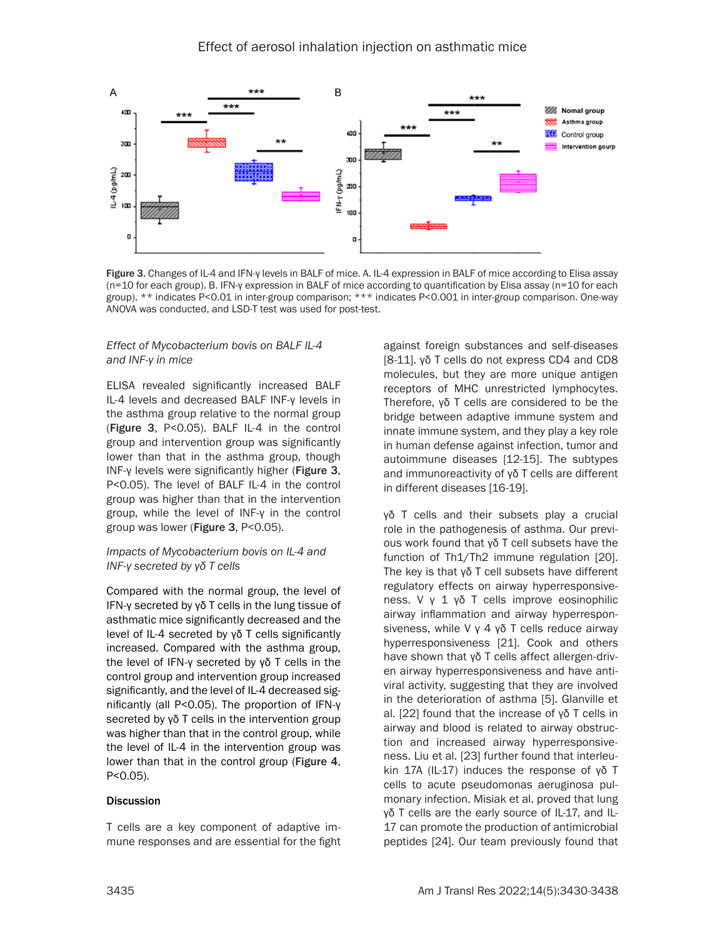

Figure 3. Changes of IL-4 and IFN-γ levels in BALF of mice. A. IL-4 expression in BALF of mice according to Elisa assay (n=10 for each group). B. IFN-γ expression in BALF of mice according to quantification by Elisa assay (n=10 for each group). \*\* indicates P<0.01 in inter-group comparison; \*\*\* indicates P<0.001 in inter-group comparison. One-way ANOVA was conducted, and LSD-T test was used for post-test.

#### *Effect of Mycobacterium bovis on BALF IL-4 and INF-γ in mice*

ELISA revealed significantly increased BALF IL-4 levels and decreased BALF INF-γ levels in the asthma group relative to the normal group (Figure 3, P<0.05). BALF IL-4 in the control group and intervention group was significantly lower than that in the asthma group, though INF-γ levels were significantly higher (Figure 3, P<0.05). The level of BALF IL-4 in the control group was higher than that in the intervention group, while the level of INF-γ in the control group was lower (Figure 3, P<0.05).

#### *Impacts of Mycobacterium bovis on IL-4 and INF-γ secreted by γδ T cells*

Compared with the normal group, the level of IFN-γ secreted by γδ T cells in the lung tissue of asthmatic mice significantly decreased and the level of IL-4 secreted by γδ T cells significantly increased. Compared with the asthma group, the level of IFN-γ secreted by γδ T cells in the control group and intervention group increased significantly, and the level of IL-4 decreased significantly (all P<0.05). The proportion of IFN-γ secreted by γδ T cells in the intervention group was higher than that in the control group, while the level of IL-4 in the intervention group was lower than that in the control group (Figure 4, P<0.05).

#### **Discussion**

T cells are a key component of adaptive immune responses and are essential for the fight against foreign substances and self-diseases [8-11]. γδ T cells do not express CD4 and CD8 molecules, but they are more unique antigen receptors of MHC unrestricted lymphocytes. Therefore, γδ T cells are considered to be the bridge between adaptive immune system and innate immune system, and they play a key role in human defense against infection, tumor and autoimmune diseases [12-15]. The subtypes and immunoreactivity of γδ T cells are different in different diseases [16-19].

γδ T cells and their subsets play a crucial role in the pathogenesis of asthma. Our previous work found that γδ T cell subsets have the function of Th1/Th2 immune regulation [20]. The key is that γδ T cell subsets have different regulatory effects on airway hyperresponsiveness. V γ 1 γδ T cells improve eosinophilic airway inflammation and airway hyperresponsiveness, while V γ 4 γδ T cells reduce airway hyperresponsiveness [21]. Cook and others have shown that γδ T cells affect allergen-driven airway hyperresponsiveness and have antiviral activity, suggesting that they are involved in the deterioration of asthma [5]. Glanville et al. [22] found that the increase of γδ T cells in airway and blood is related to airway obstruction and increased airway hyperresponsiveness. Liu et al. [23] further found that interleukin 17A (IL-17) induces the response of γδ T cells to acute pseudomonas aeruginosa pulmonary infection. Misiak et al. proved that lung γδ T cells are the early source of IL-17, and IL-17 can promote the production of antimicrobial peptides [24]. Our team previously found that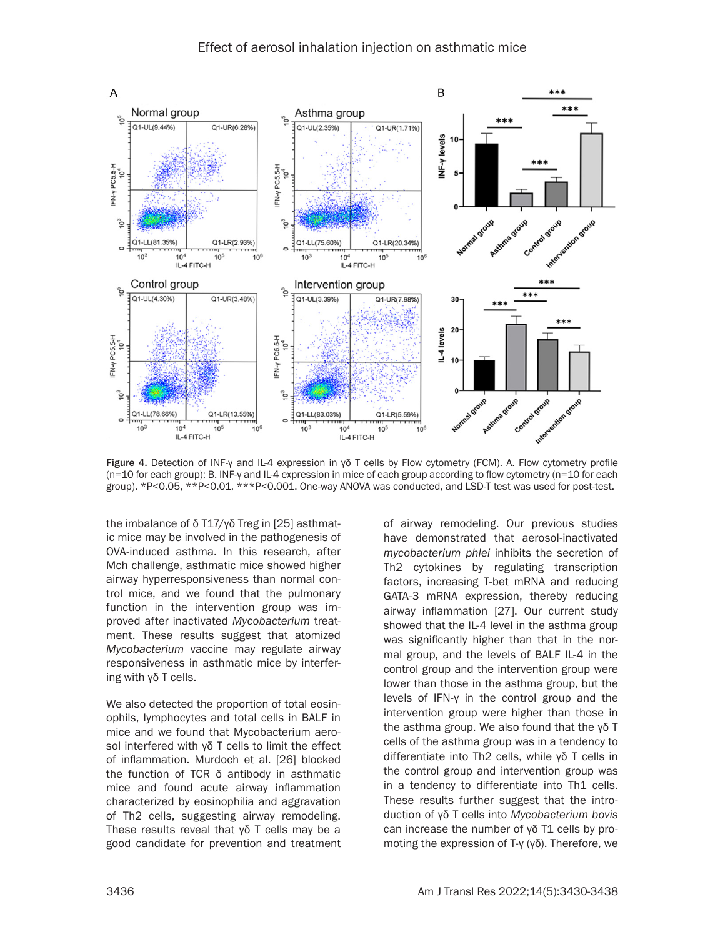

Figure 4. Detection of INF-γ and IL-4 expression in γδ T cells by Flow cytometry (FCM). A. Flow cytometry profile (n=10 for each group); B. INF-γ and IL-4 expression in mice of each group according to flow cytometry (n=10 for each group). \*P<0.05, \*\*P<0.01, \*\*\*P<0.001. One-way ANOVA was conducted, and LSD-T test was used for post-test.

the imbalance of δ T17/γδ Treg in [25] asthmatic mice may be involved in the pathogenesis of OVA-induced asthma. In this research, after Mch challenge, asthmatic mice showed higher airway hyperresponsiveness than normal control mice, and we found that the pulmonary function in the intervention group was improved after inactivated *Mycobacterium* treatment. These results suggest that atomized *Mycobacterium* vaccine may regulate airway responsiveness in asthmatic mice by interfering with γδ T cells.

We also detected the proportion of total eosinophils, lymphocytes and total cells in BALF in mice and we found that Mycobacterium aerosol interfered with γδ T cells to limit the effect of inflammation. Murdoch et al. [26] blocked the function of TCR δ antibody in asthmatic mice and found acute airway inflammation characterized by eosinophilia and aggravation of Th2 cells, suggesting airway remodeling. These results reveal that γδ T cells may be a good candidate for prevention and treatment

of airway remodeling. Our previous studies have demonstrated that aerosol-inactivated *mycobacterium phlei* inhibits the secretion of Th2 cytokines by regulating transcription factors, increasing T-bet mRNA and reducing GATA-3 mRNA expression, thereby reducing airway inflammation [27]. Our current study showed that the IL-4 level in the asthma group was significantly higher than that in the normal group, and the levels of BALF IL-4 in the control group and the intervention group were lower than those in the asthma group, but the levels of IFN-γ in the control group and the intervention group were higher than those in the asthma group. We also found that the γδ T cells of the asthma group was in a tendency to differentiate into Th2 cells, while γδ T cells in the control group and intervention group was in a tendency to differentiate into Th1 cells. These results further suggest that the introduction of γδ T cells into *Mycobacterium bovis* can increase the number of γδ T1 cells by promoting the expression of T-γ (γδ). Therefore, we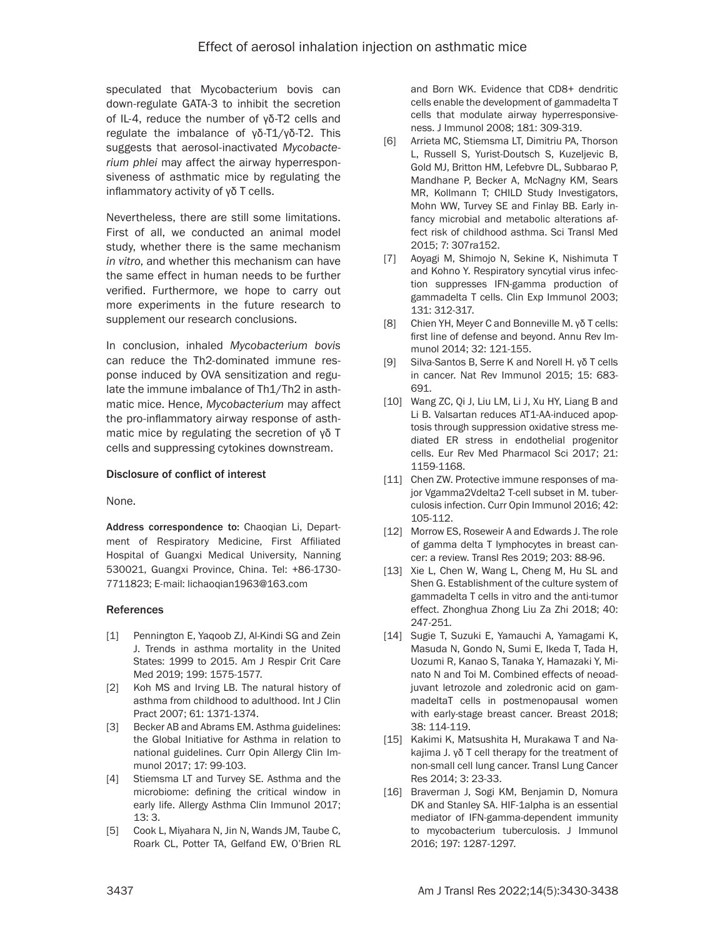speculated that Mycobacterium bovis can down-regulate GATA-3 to inhibit the secretion of IL-4, reduce the number of γδ-T2 cells and regulate the imbalance of γδ-T1/γδ-T2. This suggests that aerosol-inactivated *Mycobacterium phlei* may affect the airway hyperresponsiveness of asthmatic mice by regulating the inflammatory activity of γδ T cells.

Nevertheless, there are still some limitations. First of all, we conducted an animal model study, whether there is the same mechanism *in vitro*, and whether this mechanism can have the same effect in human needs to be further verified. Furthermore, we hope to carry out more experiments in the future research to supplement our research conclusions.

In conclusion, inhaled *Mycobacterium bovis* can reduce the Th2-dominated immune response induced by OVA sensitization and regulate the immune imbalance of Th1/Th2 in asthmatic mice. Hence, *Mycobacterium* may affect the pro-inflammatory airway response of asthmatic mice by regulating the secretion of γδ T cells and suppressing cytokines downstream.

#### Disclosure of conflict of interest

None.

Address correspondence to: Chaoqian Li, Department of Respiratory Medicine, First Affiliated Hospital of Guangxi Medical University, Nanning 530021, Guangxi Province, China. Tel: +86-1730- 7711823; E-mail: [lichaoqian1963@163.com](mailto:lichaoqian1963@163.com)

#### References

- [1] Pennington E, Yaqoob ZJ, Al-Kindi SG and Zein J. Trends in asthma mortality in the United States: 1999 to 2015. Am J Respir Crit Care Med 2019; 199: 1575-1577.
- [2] Koh MS and Irving LB. The natural history of asthma from childhood to adulthood. Int J Clin Pract 2007; 61: 1371-1374.
- [3] Becker AB and Abrams EM. Asthma guidelines: the Global Initiative for Asthma in relation to national guidelines. Curr Opin Allergy Clin Immunol 2017; 17: 99-103.
- [4] Stiemsma LT and Turvey SE. Asthma and the microbiome: defining the critical window in early life. Allergy Asthma Clin Immunol 2017; 13: 3.
- [5] Cook L, Miyahara N, Jin N, Wands JM, Taube C, Roark CL, Potter TA, Gelfand EW, O'Brien RL

and Born WK. Evidence that CD8+ dendritic cells enable the development of gammadelta T cells that modulate airway hyperresponsiveness. J Immunol 2008; 181: 309-319.

- [6] Arrieta MC, Stiemsma LT, Dimitriu PA, Thorson L, Russell S, Yurist-Doutsch S, Kuzeljevic B, Gold MJ, Britton HM, Lefebvre DL, Subbarao P, Mandhane P, Becker A, McNagny KM, Sears MR, Kollmann T; CHILD Study Investigators, Mohn WW, Turvey SE and Finlay BB. Early infancy microbial and metabolic alterations affect risk of childhood asthma. Sci Transl Med 2015; 7: 307ra152.
- [7] Aoyagi M, Shimojo N, Sekine K, Nishimuta T and Kohno Y. Respiratory syncytial virus infection suppresses IFN-gamma production of gammadelta T cells. Clin Exp Immunol 2003; 131: 312-317.
- [8] Chien YH, Meyer C and Bonneville M. γδ T cells: first line of defense and beyond. Annu Rev Immunol 2014; 32: 121-155.
- [9] Silva-Santos B, Serre K and Norell H. γδ T cells in cancer. Nat Rev Immunol 2015; 15: 683- 691.
- [10] Wang ZC, Qi J, Liu LM, Li J, Xu HY, Liang B and Li B. Valsartan reduces AT1-AA-induced apoptosis through suppression oxidative stress mediated ER stress in endothelial progenitor cells. Eur Rev Med Pharmacol Sci 2017; 21: 1159-1168.
- [11] Chen ZW. Protective immune responses of major Vgamma2Vdelta2 T-cell subset in M. tuberculosis infection. Curr Opin Immunol 2016; 42: 105-112.
- [12] Morrow ES, Roseweir A and Edwards J. The role of gamma delta T lymphocytes in breast cancer: a review. Transl Res 2019; 203: 88-96.
- [13] Xie L, Chen W, Wang L, Cheng M, Hu SL and Shen G. Establishment of the culture system of gammadelta T cells in vitro and the anti-tumor effect. Zhonghua Zhong Liu Za Zhi 2018; 40: 247-251.
- [14] Sugie T, Suzuki E, Yamauchi A, Yamagami K, Masuda N, Gondo N, Sumi E, Ikeda T, Tada H, Uozumi R, Kanao S, Tanaka Y, Hamazaki Y, Minato N and Toi M. Combined effects of neoadjuvant letrozole and zoledronic acid on gammadeltaT cells in postmenopausal women with early-stage breast cancer. Breast 2018; 38: 114-119.
- [15] Kakimi K, Matsushita H, Murakawa T and Nakajima J. γδ T cell therapy for the treatment of non-small cell lung cancer. Transl Lung Cancer Res 2014; 3: 23-33.
- [16] Braverman J, Sogi KM, Benjamin D, Nomura DK and Stanley SA. HIF-1alpha is an essential mediator of IFN-gamma-dependent immunity to mycobacterium tuberculosis. J Immunol 2016; 197: 1287-1297.